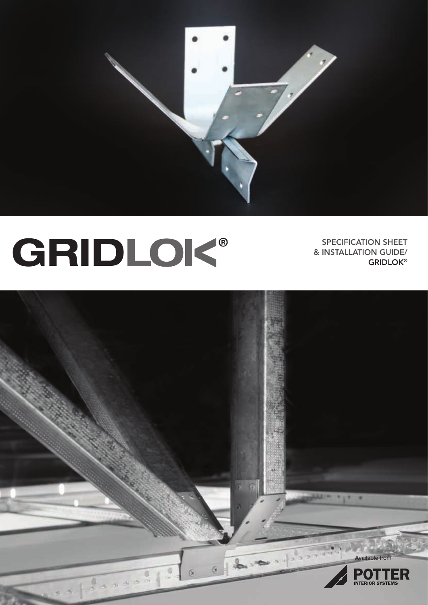

# SPECIFICATION SHEET

SPECIFICATION SHEET

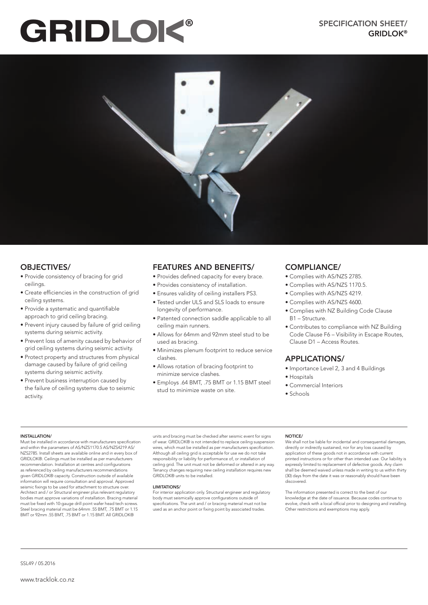### **GRIDLOK®**



#### OBJECTIVES/

- Provide consistency of bracing for grid ceilings.
- Create efficiencies in the construction of grid ceiling systems.
- Provide a systematic and quantifiable approach to grid ceiling bracing.
- Prevent injury caused by failure of grid ceiling systems during seismic activity.
- Prevent loss of amenity caused by behavior of grid ceiling systems during seismic activity.
- Protect property and structures from physical damage caused by failure of grid ceiling systems during seismic activity.
- Prevent business interruption caused by the failure of ceiling systems due to seismic activity.

#### FEATURES AND BENEFITS/

- Provides defined capacity for every brace.
- Provides consistency of installation.
- Ensures validity of ceiling installers PS3.
- Tested under ULS and SLS loads to ensure longevity of performance.
- Patented connection saddle applicable to all ceiling main runners.
- Allows for 64mm and 92mm steel stud to be used as bracing.
- Minimizes plenum footprint to reduce service clashes.
- Allows rotation of bracing footprint to minimize service clashes.
- Employs .64 BMT, .75 BMT or 1.15 BMT steel stud to minimize waste on site.

#### COMPLIANCE/

- Complies with AS/NZS 2785.
- Complies with AS/NZS 1170.5.
- Complies with AS/NZS 4219.
- Complies with AS/NZS 4600.
- Complies with NZ Building Code Clause B1 – Structure.
- Contributes to compliance with NZ Building Code Clause F6 – Visibility in Escape Routes, Clause D1 – Access Routes.

#### APPLICATIONS/

- Importance Level 2, 3 and 4 Buildings
- Hospitals
- Commercial Interiors
- Schools

#### INSTALLATION/

Must be installed in accordance with manufacturers specification and within the parameters of AS/NZS1170.5 AS/NZS4219 AS/ NZS2785. Install sheets are available online and in every box of GRIDLOK®. Ceilings must be installed as per manufacturers recommendation. Installation at centres and configurations as referenced by ceiling manufacturers recommendations given GRIDLOK® capacity. Construction outside of available information will require consultation and approval. Approved seismic fixings to be used for attachment to structure over. Architect and / or Structural engineer plus relevant regulatory bodies must approve variations of installation. Bracing material must be fixed with 10-gauge drill point wafer head tech screws. Steel bracing material must be 64mm .55 BMT, .75 BMT or 1.15 BMT or 92mm .55 BMT, .75 BMT or 1.15 BMT. All GRIDLOK®

units and bracing must be checked after seismic event for signs of wear. GRIDLOK® is not intended to replace ceiling suspension wires, which must be installed as per manufacturers specification. Although all ceiling grid is acceptable for use we do not take responsibility or liability for performance of, or installation of ceiling grid. The unit must not be deformed or altered in any way. Tenancy changes requiring new ceiling installation requires new GRIDLOK® units to be installed.

#### LIMITATIONS/

For interior application only. Structural engineer and regulatory body must seismically approve configurations outside of specifications. The unit and / or bracing material must not be used as an anchor point or fixing point by associated trades.

#### NOTICE/

We shall not be liable for incidental and consequential damages, directly or indirectly sustained, nor for any loss caused by application of these goods not in accordance with current printed instructions or for other than intended use. Our liability is expressly limited to replacement of defective goods. Any claim shall be deemed waived unless made in writing to us within thirty (30) days from the date it was or reasonably should have bee discovered.

The information presented is correct to the best of our knowledge at the date of issuance. Because codes continue to evolve, check with a local official prior to designing and installing. Other restrictions and exemptions may apply.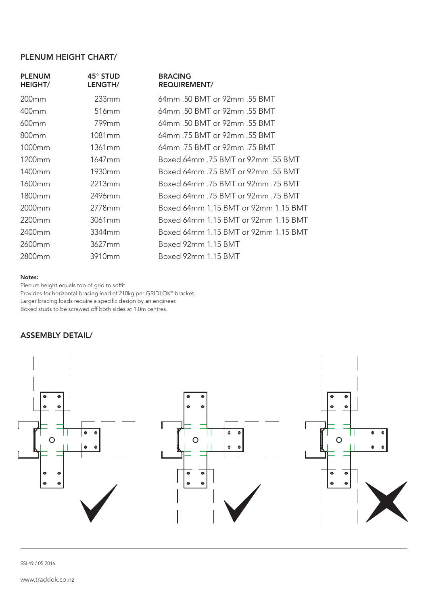#### PLENUM HEIGHT CHART/

| <b>PLENUM</b><br><b>HEIGHT/</b> | 45° STUD<br>LENGTH/ | <b>BRACING</b><br><b>REQUIREMENT/</b> |
|---------------------------------|---------------------|---------------------------------------|
| 200 <sub>mm</sub>               | 233mm               | 64mm .50 BMT or 92mm .55 BMT          |
| 400mm                           | 516 <sub>mm</sub>   | 64mm .50 BMT or 92mm .55 BMT          |
| $600$ mm                        | 799mm               | 64mm .50 BMT or 92mm .55 BMT          |
| 800 <sub>mm</sub>               | 1081mm              | 64mm .75 BMT or 92mm .55 BMT          |
| 1000mm                          | 1361mm              | 64mm 75 BMT or 92mm 75 BMT            |
| 1200 <sub>mm</sub>              | 1647 <sub>mm</sub>  | Boxed 64mm .75 BMT or 92mm .55 BMT    |
| 1400mm                          | 1930mm              | Boxed 64mm .75 BMT or 92mm .55 BMT    |
| 1600mm                          | 2213mm              | Boxed 64mm .75 BMT or 92mm .75 BMT    |
| 1800mm                          | 2496mm              | Boxed 64mm .75 BMT or 92mm .75 BMT    |
| 2000 <sub>mm</sub>              | 2778mm              | Boxed 64mm 1.15 BMT or 92mm 1.15 BMT  |
| 2200 <sub>mm</sub>              | 3061 <sub>mm</sub>  | Boxed 64mm 1.15 BMT or 92mm 1.15 BMT  |
| 2400 <sub>mm</sub>              | 3344mm              | Boxed 64mm 1.15 BMT or 92mm 1.15 BMT  |
| 2600 <sub>mm</sub>              | 3627 <sub>mm</sub>  | Boxed 92mm 1.15 BMT                   |
| 2800 <sub>mm</sub>              | 3910mm              | Boxed 92mm 1.15 BMT                   |
|                                 |                     |                                       |

#### Notes:

Plenum height equals top of grid to soffit. Provides for horizontal bracing load of 210kg per GRIDLOK® bracket. Larger bracing loads require a specific design by an engineer. Boxed studs to be screwed off both sides at 1.0m centres.

### ASSEMBLY DETAIL/